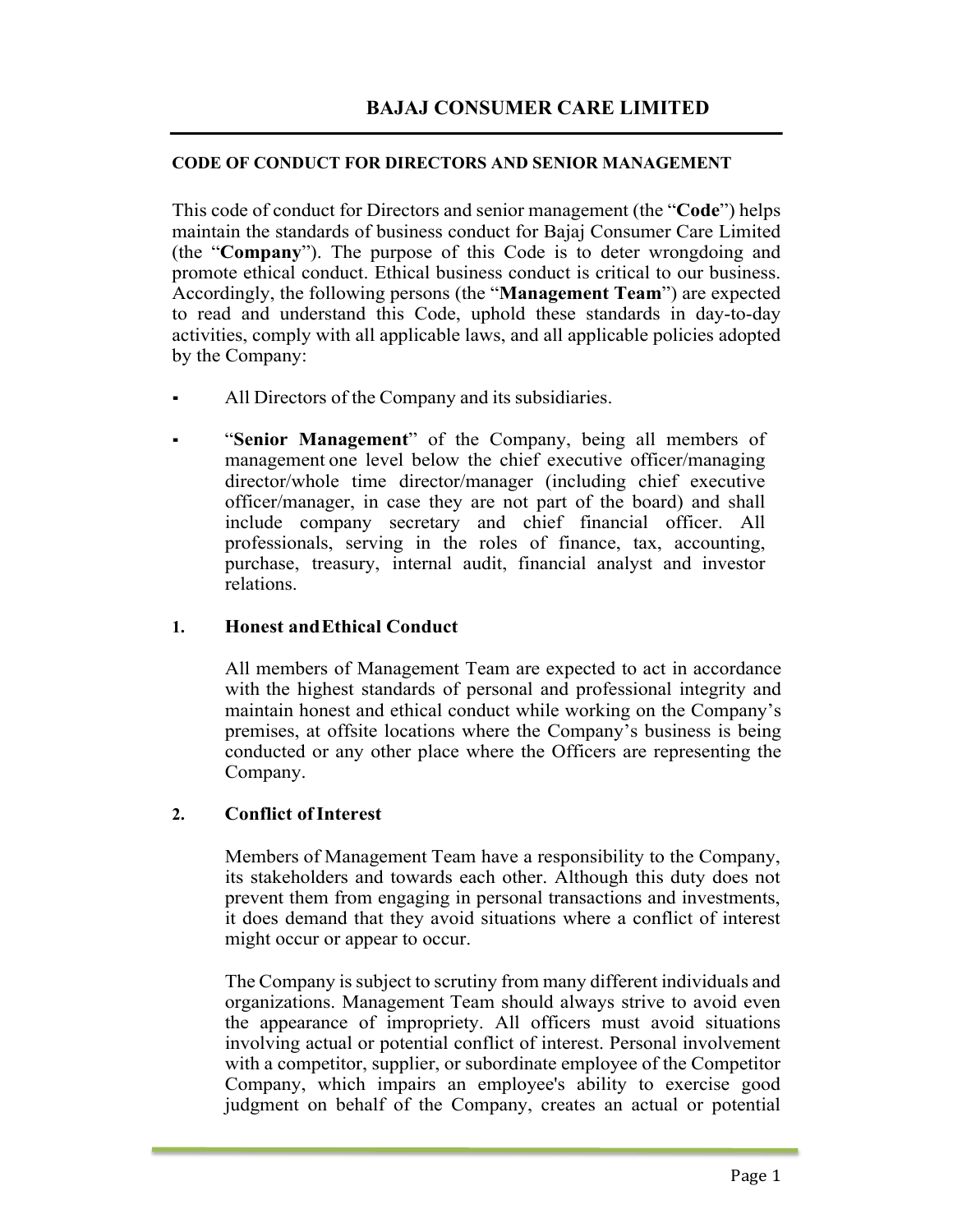### **CODE OF CONDUCT FOR DIRECTORS AND SENIOR MANAGEMENT**

This code of conduct for Directors and senior management (the "**Code**") helps maintain the standards of business conduct for Bajaj Consumer Care Limited (the "**Company**"). The purpose of this Code is to deter wrongdoing and promote ethical conduct. Ethical business conduct is critical to our business. Accordingly, the following persons (the "**Management Team**") are expected to read and understand this Code, uphold these standards in day-to-day activities, comply with all applicable laws, and all applicable policies adopted by the Company:

- All Directors of the Company and its subsidiaries.
- "Senior Management" of the Company, being all members of management one level below the chief executive officer/managing director/whole time director/manager (including chief executive officer/manager, in case they are not part of the board) and shall include company secretary and chief financial officer. All professionals, serving in the roles of finance, tax, accounting, purchase, treasury, internal audit, financial analyst and investor relations.

### **1. Honest andEthical Conduct**

All members of Management Team are expected to act in accordance with the highest standards of personal and professional integrity and maintain honest and ethical conduct while working on the Company's premises, at offsite locations where the Company's business is being conducted or any other place where the Officers are representing the Company.

#### **2. Conflict ofInterest**

Members of Management Team have a responsibility to the Company, its stakeholders and towards each other. Although this duty does not prevent them from engaging in personal transactions and investments, it does demand that they avoid situations where a conflict of interest might occur or appear to occur.

The Company is subject to scrutiny from many different individuals and organizations. Management Team should always strive to avoid even the appearance of impropriety. All officers must avoid situations involving actual or potential conflict of interest. Personal involvement with a competitor, supplier, or subordinate employee of the Competitor Company, which impairs an employee's ability to exercise good judgment on behalf of the Company, creates an actual or potential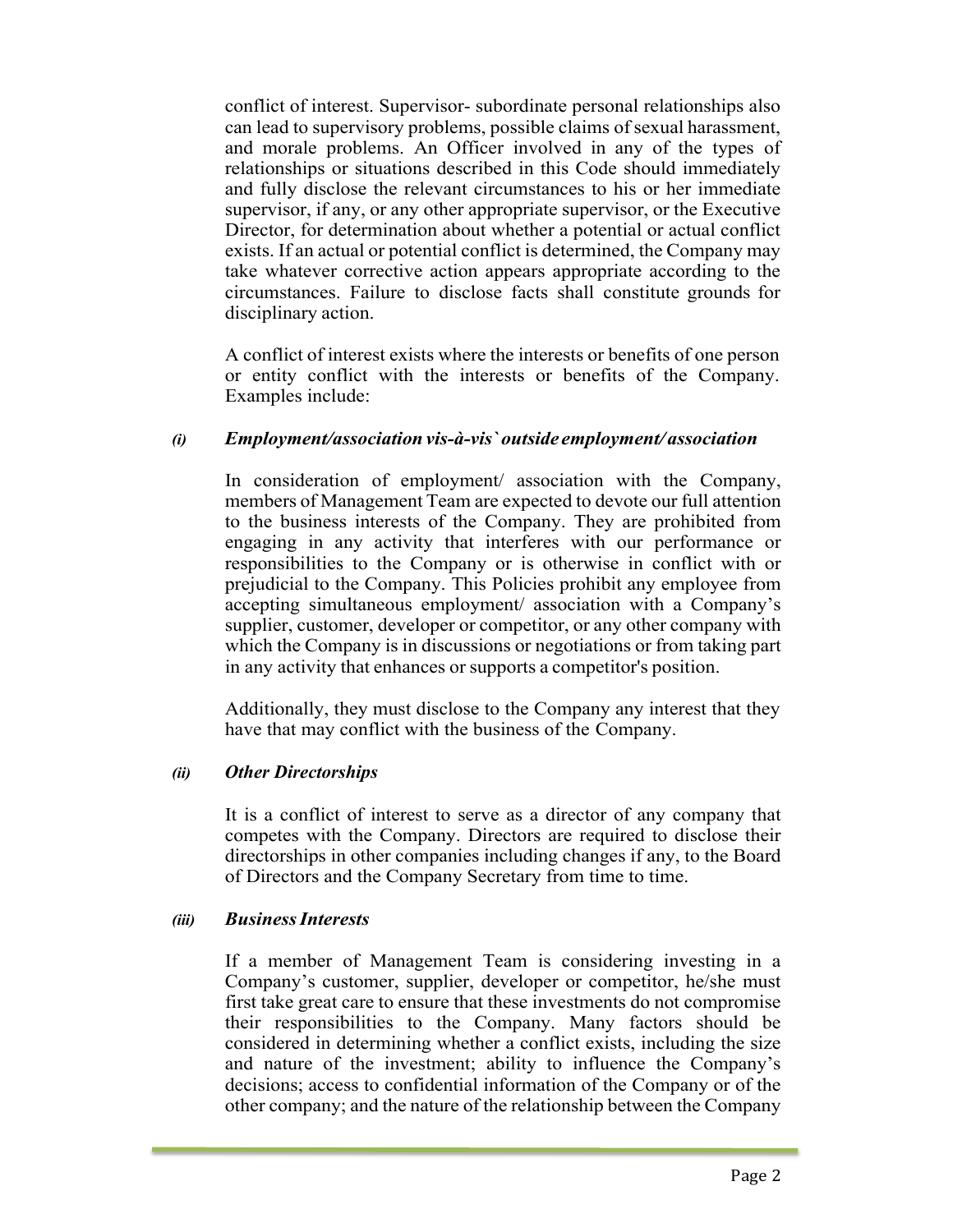conflict of interest. Supervisor- subordinate personal relationships also can lead to supervisory problems, possible claims of sexual harassment, and morale problems. An Officer involved in any of the types of relationships or situations described in this Code should immediately and fully disclose the relevant circumstances to his or her immediate supervisor, if any, or any other appropriate supervisor, or the Executive Director, for determination about whether a potential or actual conflict exists. If an actual or potential conflict is determined, the Company may take whatever corrective action appears appropriate according to the circumstances. Failure to disclose facts shall constitute grounds for disciplinary action.

A conflict of interest exists where the interests or benefits of one person or entity conflict with the interests or benefits of the Company. Examples include:

#### *(i) Employment/association vis-à-vis` outside employment/ association*

In consideration of employment/ association with the Company, members of Management Team are expected to devote our full attention to the business interests of the Company. They are prohibited from engaging in any activity that interferes with our performance or responsibilities to the Company or is otherwise in conflict with or prejudicial to the Company. This Policies prohibit any employee from accepting simultaneous employment/ association with a Company's supplier, customer, developer or competitor, or any other company with which the Company is in discussions or negotiations or from taking part in any activity that enhances or supports a competitor's position.

Additionally, they must disclose to the Company any interest that they have that may conflict with the business of the Company.

#### *(ii) Other Directorships*

It is a conflict of interest to serve as a director of any company that competes with the Company. Directors are required to disclose their directorships in other companies including changes if any, to the Board of Directors and the Company Secretary from time to time.

#### *(iii) BusinessInterests*

If a member of Management Team is considering investing in a Company's customer, supplier, developer or competitor, he/she must first take great care to ensure that these investments do not compromise their responsibilities to the Company. Many factors should be considered in determining whether a conflict exists, including the size and nature of the investment; ability to influence the Company's decisions; access to confidential information of the Company or of the other company; and the nature of the relationship between the Company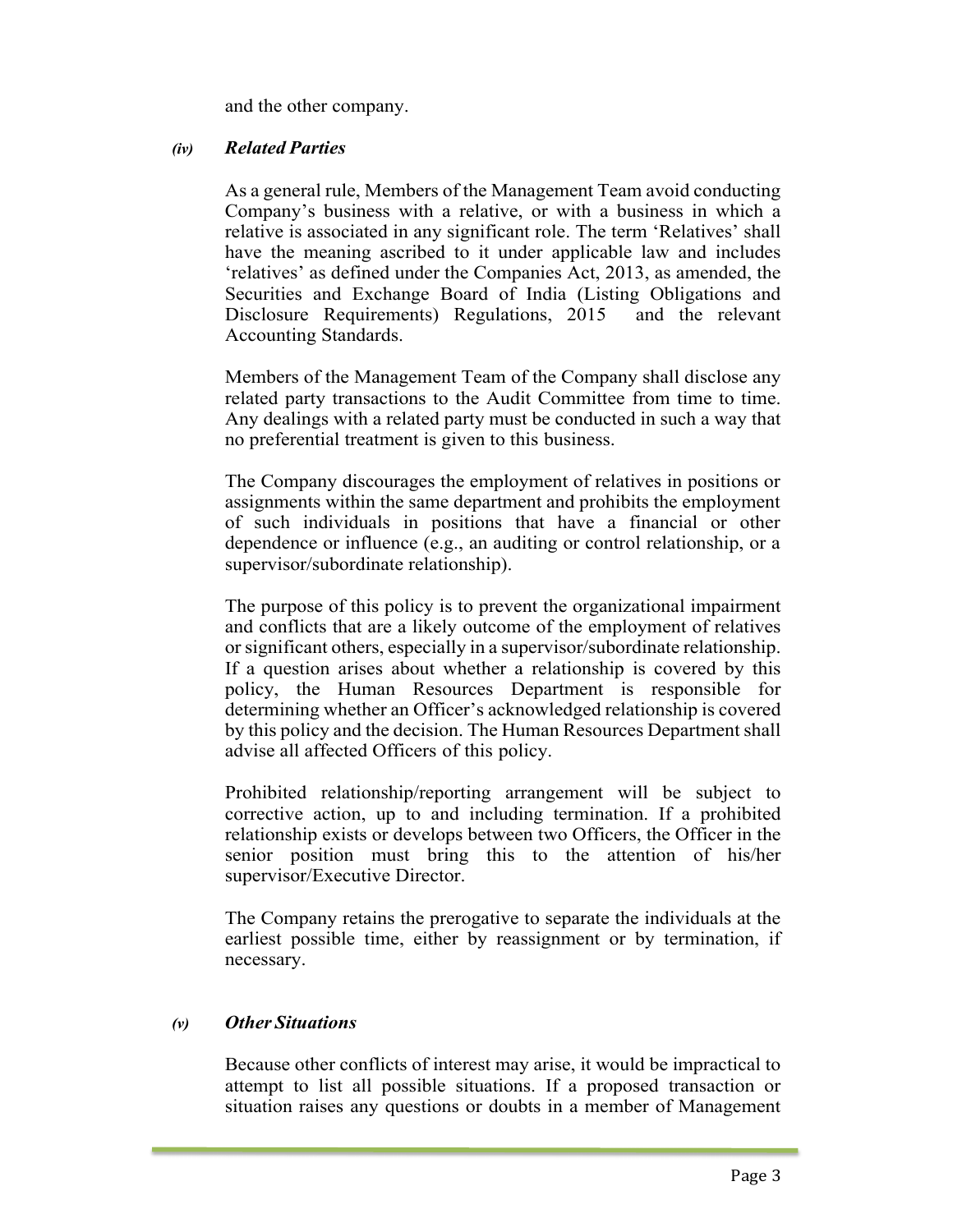and the other company.

## *(iv) Related Parties*

As a general rule, Members of the Management Team avoid conducting Company's business with a relative, or with a business in which a relative is associated in any significant role. The term 'Relatives' shall have the meaning ascribed to it under applicable law and includes 'relatives' as defined under the Companies Act, 2013, as amended, the Securities and Exchange Board of India (Listing Obligations and Disclosure Requirements) Regulations, 2015 and the relevant Accounting Standards.

Members of the Management Team of the Company shall disclose any related party transactions to the Audit Committee from time to time. Any dealings with a related party must be conducted in such a way that no preferential treatment is given to this business.

The Company discourages the employment of relatives in positions or assignments within the same department and prohibits the employment of such individuals in positions that have a financial or other dependence or influence (e.g., an auditing or control relationship, or a supervisor/subordinate relationship).

The purpose of this policy is to prevent the organizational impairment and conflicts that are a likely outcome of the employment of relatives or significant others, especially in a supervisor/subordinate relationship. If a question arises about whether a relationship is covered by this policy, the Human Resources Department is responsible for determining whether an Officer's acknowledged relationship is covered by this policy and the decision. The Human Resources Department shall advise all affected Officers of this policy.

Prohibited relationship/reporting arrangement will be subject to corrective action, up to and including termination. If a prohibited relationship exists or develops between two Officers, the Officer in the senior position must bring this to the attention of his/her supervisor/Executive Director.

The Company retains the prerogative to separate the individuals at the earliest possible time, either by reassignment or by termination, if necessary.

#### *(v) Other Situations*

Because other conflicts of interest may arise, it would be impractical to attempt to list all possible situations. If a proposed transaction or situation raises any questions or doubts in a member of Management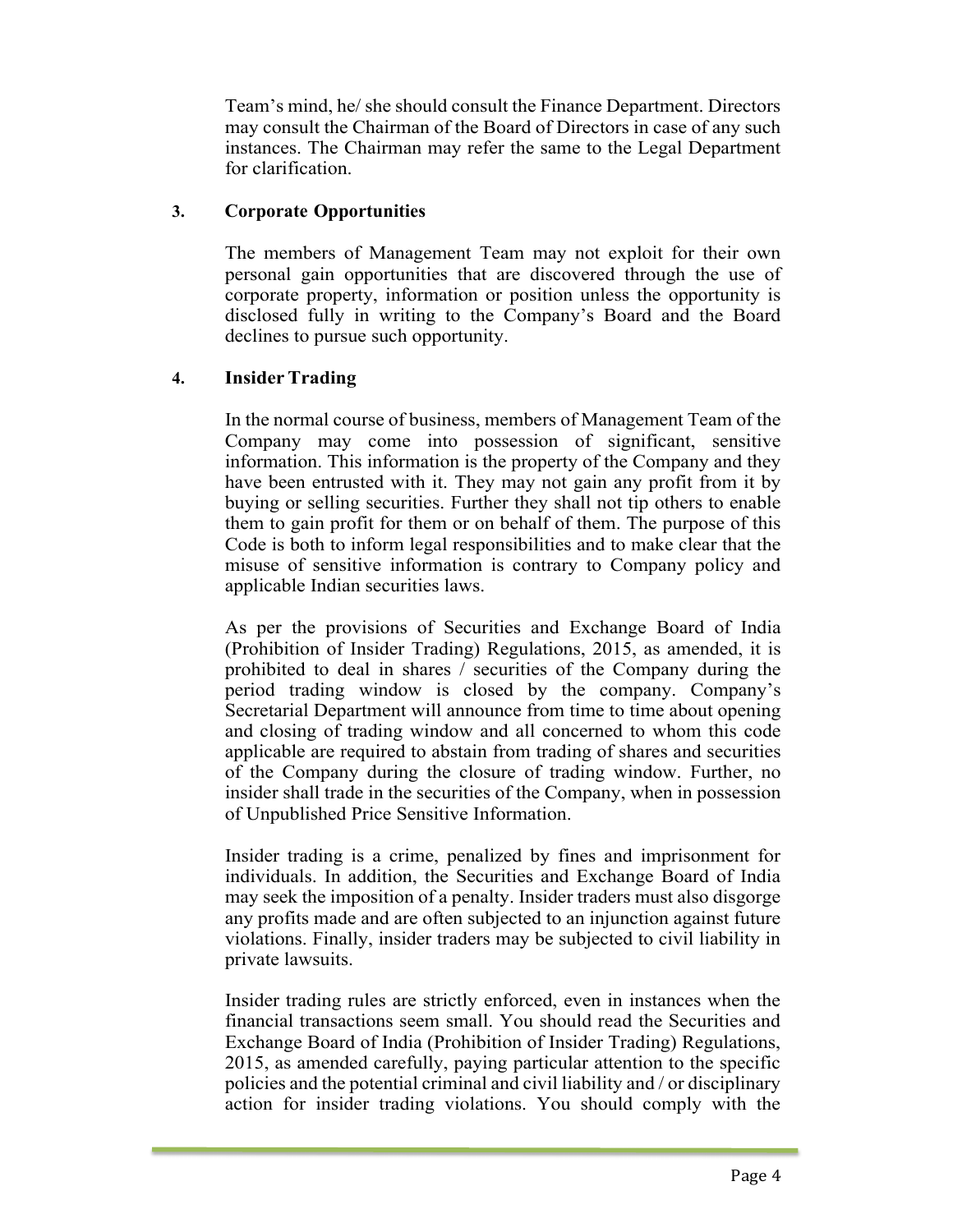Team's mind, he/ she should consult the Finance Department. Directors may consult the Chairman of the Board of Directors in case of any such instances. The Chairman may refer the same to the Legal Department for clarification.

## **3. Corporate Opportunities**

The members of Management Team may not exploit for their own personal gain opportunities that are discovered through the use of corporate property, information or position unless the opportunity is disclosed fully in writing to the Company's Board and the Board declines to pursue such opportunity.

# **4. InsiderTrading**

In the normal course of business, members of Management Team of the Company may come into possession of significant, sensitive information. This information is the property of the Company and they have been entrusted with it. They may not gain any profit from it by buying or selling securities. Further they shall not tip others to enable them to gain profit for them or on behalf of them. The purpose of this Code is both to inform legal responsibilities and to make clear that the misuse of sensitive information is contrary to Company policy and applicable Indian securities laws.

As per the provisions of Securities and Exchange Board of India (Prohibition of Insider Trading) Regulations, 2015, as amended, it is prohibited to deal in shares / securities of the Company during the period trading window is closed by the company. Company's Secretarial Department will announce from time to time about opening and closing of trading window and all concerned to whom this code applicable are required to abstain from trading of shares and securities of the Company during the closure of trading window. Further, no insider shall trade in the securities of the Company, when in possession of Unpublished Price Sensitive Information.

Insider trading is a crime, penalized by fines and imprisonment for individuals. In addition, the Securities and Exchange Board of India may seek the imposition of a penalty. Insider traders must also disgorge any profits made and are often subjected to an injunction against future violations. Finally, insider traders may be subjected to civil liability in private lawsuits.

Insider trading rules are strictly enforced, even in instances when the financial transactions seem small. You should read the Securities and Exchange Board of India (Prohibition of Insider Trading) Regulations, 2015, as amended carefully, paying particular attention to the specific policies and the potential criminal and civil liability and / or disciplinary action for insider trading violations. You should comply with the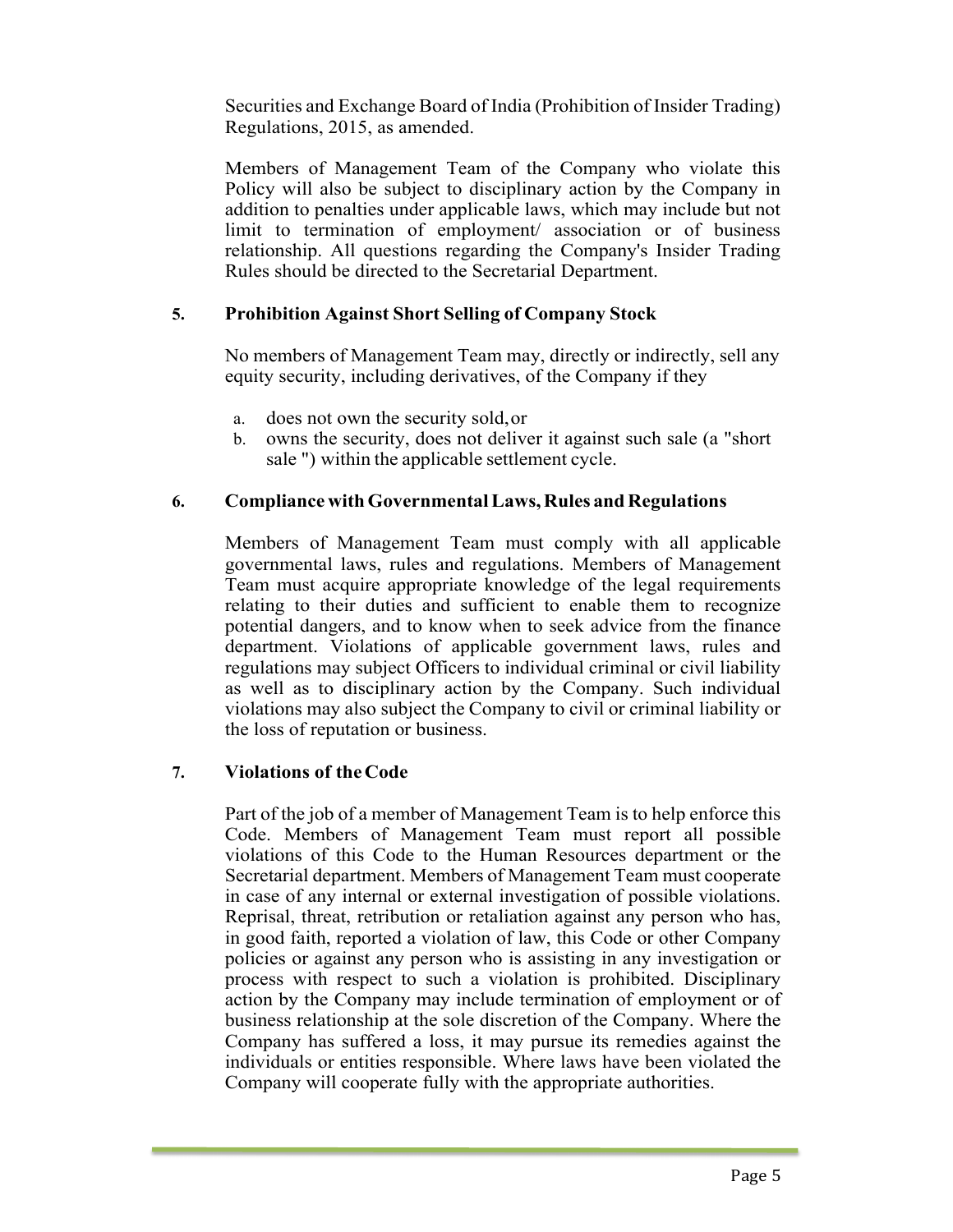Securities and Exchange Board of India (Prohibition of Insider Trading) Regulations, 2015, as amended.

Members of Management Team of the Company who violate this Policy will also be subject to disciplinary action by the Company in addition to penalties under applicable laws, which may include but not limit to termination of employment/ association or of business relationship. All questions regarding the Company's Insider Trading Rules should be directed to the Secretarial Department.

# **5. Prohibition Against Short Selling of Company Stock**

No members of Management Team may, directly or indirectly, sell any equity security, including derivatives, of the Company if they

- a. does not own the security sold,or
- b. owns the security, does not deliver it against such sale (a "short sale ") within the applicable settlement cycle.

# **6. Compliance withGovernmentalLaws,Rules and Regulations**

Members of Management Team must comply with all applicable governmental laws, rules and regulations. Members of Management Team must acquire appropriate knowledge of the legal requirements relating to their duties and sufficient to enable them to recognize potential dangers, and to know when to seek advice from the finance department. Violations of applicable government laws, rules and regulations may subject Officers to individual criminal or civil liability as well as to disciplinary action by the Company. Such individual violations may also subject the Company to civil or criminal liability or the loss of reputation or business.

# **7. Violations of theCode**

Part of the job of a member of Management Team is to help enforce this Code. Members of Management Team must report all possible violations of this Code to the Human Resources department or the Secretarial department. Members of Management Team must cooperate in case of any internal or external investigation of possible violations. Reprisal, threat, retribution or retaliation against any person who has, in good faith, reported a violation of law, this Code or other Company policies or against any person who is assisting in any investigation or process with respect to such a violation is prohibited. Disciplinary action by the Company may include termination of employment or of business relationship at the sole discretion of the Company. Where the Company has suffered a loss, it may pursue its remedies against the individuals or entities responsible. Where laws have been violated the Company will cooperate fully with the appropriate authorities.